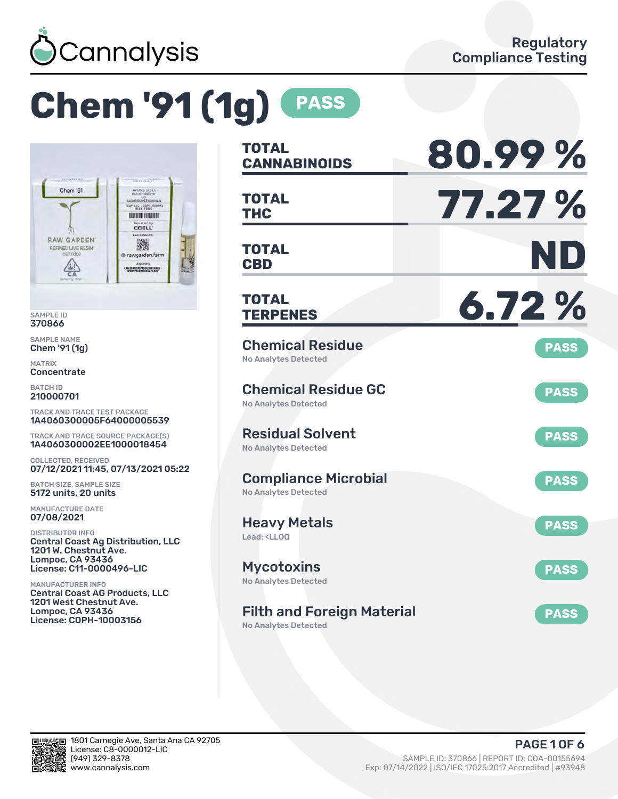

# **Chem '91 (1g) PASS**



SAMPLE ID 370866

SAMPLE NAME Chem '91 (1g)

MATRIX **Concentrate** 

BATCH ID 210000701

TRACK AND TRACE TEST PACKAGE 1A4060300005F64000005539

TRACK AND TRACE SOURCE PACKAGE(S) 1A4060300002EE1000018454

COLLECTED, RECEIVED 07/12/2021 11:45, 07/13/2021 05:22

BATCH SIZE, SAMPLE SIZE 5172 units, 20 units

MANUFACTURE DATE 07/08/2021

DISTRIBUTOR INFO Central Coast Ag Distribution, LLC 1201 W. Chestnut Ave. Lompoc, CA 93436 License: C11-0000496-LIC

MANUFACTURER INFO Central Coast AG Products, LLC 1201 West Chestnut Ave. Lompoc, CA 93436 License: CDPH-10003156

| <b>TOTAL</b><br><b>CANNABINOIDS</b>                                    | 80.99%      |
|------------------------------------------------------------------------|-------------|
| <b>TOTAL</b><br><b>THC</b>                                             | 77.27 %     |
| <b>TOTAL</b><br><b>CBD</b>                                             | ND          |
| <b>TOTAL</b><br><b>TERPENES</b>                                        | 6.72%       |
| <b>Chemical Residue</b><br><b>No Analytes Detected</b>                 | <b>PASS</b> |
| <b>Chemical Residue GC</b><br><b>No Analytes Detected</b>              | <b>PASS</b> |
| <b>Residual Solvent</b><br><b>No Analytes Detected</b>                 | <b>PASS</b> |
| <b>Compliance Microbial</b><br><b>No Analytes Detected</b>             | <b>PASS</b> |
| <b>Heavy Metals</b><br>Lead: <ll00< td=""><td><b>PASS</b></td></ll00<> | <b>PASS</b> |
| <b>Mycotoxins</b><br>No Analytes Detected                              | <b>PASS</b> |
| <b>Filth and Foreign Material</b><br><b>No Analytes Detected</b>       | <b>PASS</b> |

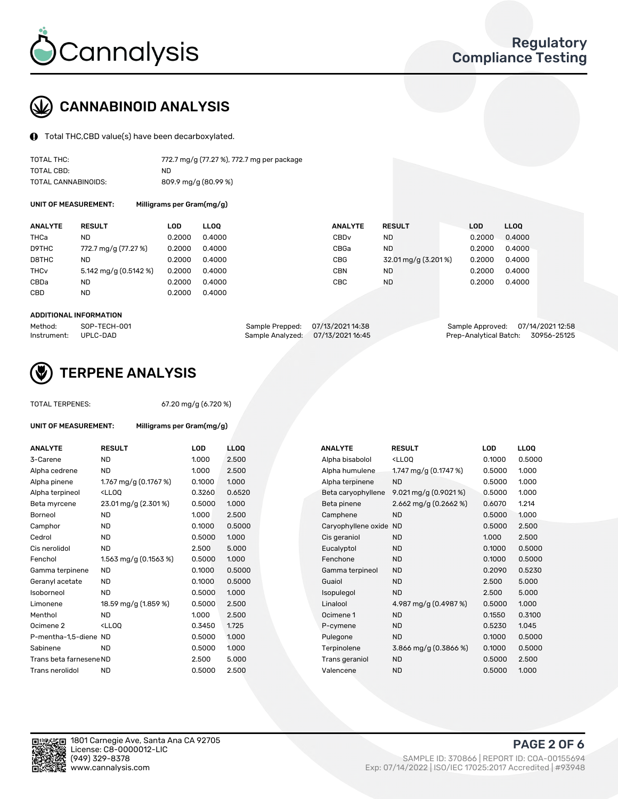

# CANNABINOID ANALYSIS

Total THC,CBD value(s) have been decarboxylated.

| TOTAL THC:          | 772.7 mg/g (77.27 %), 772.7 mg per package |
|---------------------|--------------------------------------------|
| TOTAL CBD:          | ND.                                        |
| TOTAL CANNABINOIDS: | 809.9 mg/g (80.99 %)                       |

UNIT OF MEASUREMENT: Milligrams per Gram(mg/g)

| <b>ANALYTE</b>         | <b>RESULT</b>         | LOD    | <b>LLOO</b> | <b>ANALYTE</b>   | <b>RESULT</b>       | <b>LOD</b> | <b>LLOO</b> |
|------------------------|-----------------------|--------|-------------|------------------|---------------------|------------|-------------|
| THCa                   | ND                    | 0.2000 | 0.4000      | CBD <sub>v</sub> | ND                  | 0.2000     | 0.4000      |
| D9THC                  | 772.7 mg/g (77.27 %)  | 0.2000 | 0.4000      | CBGa             | <b>ND</b>           | 0.2000     | 0.4000      |
| D8THC                  | ND                    | 0.2000 | 0.4000      | CBG              | 32.01 mg/g (3.201%) | 0.2000     | 0.4000      |
| <b>THC<sub>v</sub></b> | 5.142 mg/g (0.5142 %) | 0.2000 | 0.4000      | CBN              | ND                  | 0.2000     | 0.4000      |
| CBDa                   | ND                    | 0.2000 | 0.4000      | CBC              | ND                  | 0.2000     | 0.4000      |
| CBD                    | <b>ND</b>             | 0.2000 | 0.4000      |                  |                     |            |             |
|                        |                       |        |             |                  |                     |            |             |

#### ADDITIONAL INFORMATION

| Method:              | SOP-TECH-001 | Sample Prepped: 07/13/2021 14:38  | Sample Approved: 07/14/2021 12:58  |  |
|----------------------|--------------|-----------------------------------|------------------------------------|--|
| Instrument: UPLC-DAD |              | Sample Analyzed: 07/13/2021 16:45 | Prep-Analytical Batch: 30956-25125 |  |



## TERPENE ANALYSIS

TOTAL TERPENES: 67.20 mg/g (6.720 %)

| UNIT OF MEASUREMENT:    |                                                   | Milligrams per Gram(mg/g) |                 |  |  |  |  |
|-------------------------|---------------------------------------------------|---------------------------|-----------------|--|--|--|--|
| <b>ANALYTE</b>          | <b>RESULT</b>                                     | LOD                       | LL <sub>0</sub> |  |  |  |  |
| 3-Carene                | <b>ND</b>                                         | 1.000                     | 2.50            |  |  |  |  |
| Alpha cedrene           | <b>ND</b>                                         | 1.000                     | 2.50            |  |  |  |  |
| Alpha pinene            | 1.767 mg/g $(0.1767%)$                            | 0.1000                    | 1.0C            |  |  |  |  |
| Alpha terpineol         | <lloq< td=""><td>0.3260</td><td>0.65</td></lloq<> | 0.3260                    | 0.65            |  |  |  |  |
| Beta myrcene            | 23.01 mg/g (2.301 %)                              | 0.5000                    | 1.0C            |  |  |  |  |
| Borneol                 | <b>ND</b>                                         | 1.000                     | 2.50            |  |  |  |  |
| Camphor                 | <b>ND</b>                                         | 0.1000                    | 0.50            |  |  |  |  |
| Cedrol                  | <b>ND</b>                                         | 0.5000                    | 1.0C            |  |  |  |  |
| Cis nerolidol           | <b>ND</b>                                         | 2.500                     | 5.0(            |  |  |  |  |
| Fenchol                 | 1.563 mg/g $(0.1563\%)$                           | 0.5000                    | 1.0C            |  |  |  |  |
| Gamma terpinene         | <b>ND</b>                                         | 0.1000                    | 0.50            |  |  |  |  |
| Geranyl acetate         | ND                                                | 0.1000                    | 0.50            |  |  |  |  |
| Isoborneol              | <b>ND</b>                                         | 0.5000                    | 1.0C            |  |  |  |  |
| Limonene                | 18.59 mg/g (1.859 %)                              | 0.5000                    | 2.50            |  |  |  |  |
| Menthol                 | ND.                                               | 1.000                     | 2.50            |  |  |  |  |
| Ocimene 2               | <ll00< td=""><td>0.3450</td><td>1.72</td></ll00<> | 0.3450                    | 1.72            |  |  |  |  |
| P-mentha-1,5-diene ND   |                                                   | 0.5000                    | 1.0C            |  |  |  |  |
| Sabinene                | ND.                                               | 0.5000                    | 1.0C            |  |  |  |  |
| Trans beta farnesene ND |                                                   | 2.500                     | 5.0(            |  |  |  |  |
| Trans nerolidol         | <b>ND</b>                                         | 0.5000                    | 2.50            |  |  |  |  |

| <b>ANALYTE</b>          | <b>RESULT</b>                                                                                                                                          | <b>LOD</b> | <b>LLOQ</b> | <b>ANALYTE</b>         | <b>RESULT</b>                                       | <b>LOD</b> | <b>LLOQ</b> |
|-------------------------|--------------------------------------------------------------------------------------------------------------------------------------------------------|------------|-------------|------------------------|-----------------------------------------------------|------------|-------------|
| 3-Carene                | <b>ND</b>                                                                                                                                              | 1.000      | 2.500       | Alpha bisabolol        | <lloq< td=""><td>0.1000</td><td>0.5000</td></lloq<> | 0.1000     | 0.5000      |
| Alpha cedrene           | <b>ND</b>                                                                                                                                              | 1.000      | 2.500       | Alpha humulene         | 1.747 mg/g (0.1747 %)                               | 0.5000     | 1.000       |
| Alpha pinene            | 1.767 mg/g (0.1767 %)                                                                                                                                  | 0.1000     | 1.000       | Alpha terpinene        | <b>ND</b>                                           | 0.5000     | 1.000       |
| Alpha terpineol         | <lloq< td=""><td>0.3260</td><td>0.6520</td><td>Beta caryophyllene</td><td>9.021 mg/g <math>(0.9021\%)</math></td><td>0.5000</td><td>1.000</td></lloq<> | 0.3260     | 0.6520      | Beta caryophyllene     | 9.021 mg/g $(0.9021\%)$                             | 0.5000     | 1.000       |
| Beta myrcene            | 23.01 mg/g (2.301 %)                                                                                                                                   | 0.5000     | 1.000       | Beta pinene            | 2.662 mg/g $(0.2662\%)$                             | 0.6070     | 1.214       |
| Borneol                 | <b>ND</b>                                                                                                                                              | 1.000      | 2.500       | Camphene               | <b>ND</b>                                           | 0.5000     | 1.000       |
| Camphor                 | <b>ND</b>                                                                                                                                              | 0.1000     | 0.5000      | Caryophyllene oxide ND |                                                     | 0.5000     | 2.500       |
| Cedrol                  | <b>ND</b>                                                                                                                                              | 0.5000     | 1.000       | Cis geraniol           | <b>ND</b>                                           | 1.000      | 2.500       |
| Cis nerolidol           | <b>ND</b>                                                                                                                                              | 2.500      | 5.000       | Eucalyptol             | <b>ND</b>                                           | 0.1000     | 0.5000      |
| Fenchol                 | 1.563 mg/g $(0.1563\%)$                                                                                                                                | 0.5000     | 1.000       | Fenchone               | <b>ND</b>                                           | 0.1000     | 0.5000      |
| Gamma terpinene         | <b>ND</b>                                                                                                                                              | 0.1000     | 0.5000      | Gamma terpineol        | <b>ND</b>                                           | 0.2090     | 0.5230      |
| Geranyl acetate         | ND.                                                                                                                                                    | 0.1000     | 0.5000      | Guaiol                 | <b>ND</b>                                           | 2.500      | 5.000       |
| Isoborneol              | <b>ND</b>                                                                                                                                              | 0.5000     | 1.000       | Isopulegol             | <b>ND</b>                                           | 2.500      | 5.000       |
| Limonene                | 18.59 mg/g (1.859 %)                                                                                                                                   | 0.5000     | 2.500       | Linalool               | 4.987 mg/g (0.4987 %)                               | 0.5000     | 1.000       |
| Menthol                 | <b>ND</b>                                                                                                                                              | 1.000      | 2.500       | Ocimene 1              | <b>ND</b>                                           | 0.1550     | 0.3100      |
| Ocimene 2               | <lloq< td=""><td>0.3450</td><td>1.725</td><td>P-cymene</td><td><b>ND</b></td><td>0.5230</td><td>1.045</td></lloq<>                                     | 0.3450     | 1.725       | P-cymene               | <b>ND</b>                                           | 0.5230     | 1.045       |
| P-mentha-1,5-diene ND   |                                                                                                                                                        | 0.5000     | 1.000       | Pulegone               | <b>ND</b>                                           | 0.1000     | 0.5000      |
| Sabinene                | <b>ND</b>                                                                                                                                              | 0.5000     | 1.000       | Terpinolene            | 3.866 mg/g $(0.3866\%)$                             | 0.1000     | 0.5000      |
| Trans beta farnesene ND |                                                                                                                                                        | 2.500      | 5.000       | Trans geraniol         | <b>ND</b>                                           | 0.5000     | 2.500       |
| Trans nerolidol         | <b>ND</b>                                                                                                                                              | 0.5000     | 2.500       | Valencene              | <b>ND</b>                                           | 0.5000     | 1.000       |

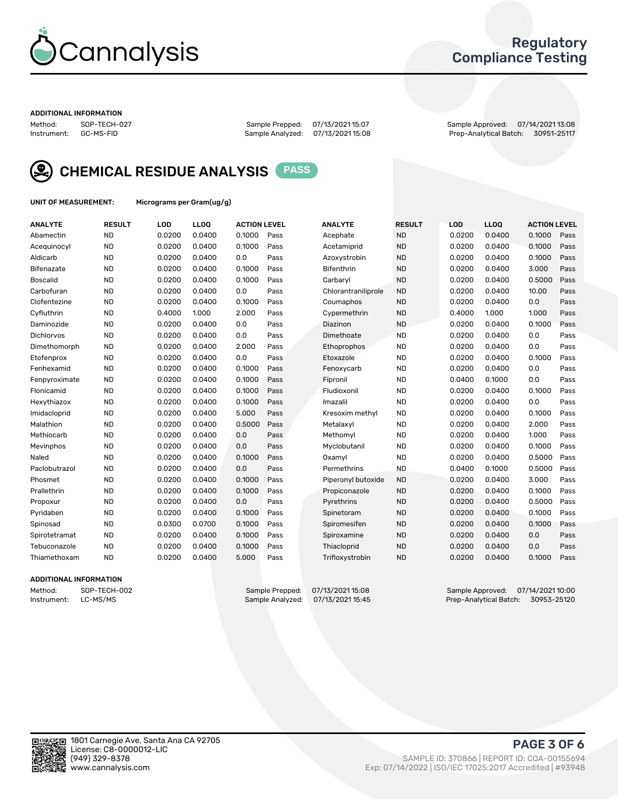

## Regulatory Compliance Testing

#### ADDITIONAL INFORMATION

Sample Analyzed: 07/13/2021 15:08

Method: SOP-TECH-027 Sample Prepped: 07/13/2021 15:07 Sample Approved: 07/14/2021 13:08



CHEMICAL RESIDUE ANALYSIS PASS

UNIT OF MEASUREMENT: Micrograms per Gram(ug/g)

| <b>ANALYTE</b>  | <b>RESULT</b> | LOD    | LLOQ   | <b>ACTION LEVEL</b> |      | <b>ANALYTE</b>      | <b>RESULT</b> | <b>LOD</b> | <b>LLOQ</b> | <b>ACTION LEVEL</b> |      |
|-----------------|---------------|--------|--------|---------------------|------|---------------------|---------------|------------|-------------|---------------------|------|
| Abamectin       | <b>ND</b>     | 0.0200 | 0.0400 | 0.1000              | Pass | Acephate            | <b>ND</b>     | 0.0200     | 0.0400      | 0.1000              | Pass |
| Acequinocyl     | <b>ND</b>     | 0.0200 | 0.0400 | 0.1000              | Pass | Acetamiprid         | <b>ND</b>     | 0.0200     | 0.0400      | 0.1000              | Pass |
| Aldicarb        | <b>ND</b>     | 0.0200 | 0.0400 | 0.0                 | Pass | Azoxystrobin        | <b>ND</b>     | 0.0200     | 0.0400      | 0.1000              | Pass |
| Bifenazate      | <b>ND</b>     | 0.0200 | 0.0400 | 0.1000              | Pass | Bifenthrin          | <b>ND</b>     | 0.0200     | 0.0400      | 3.000               | Pass |
| <b>Boscalid</b> | <b>ND</b>     | 0.0200 | 0.0400 | 0.1000              | Pass | Carbaryl            | <b>ND</b>     | 0.0200     | 0.0400      | 0.5000              | Pass |
| Carbofuran      | <b>ND</b>     | 0.0200 | 0.0400 | 0.0                 | Pass | Chlorantraniliprole | <b>ND</b>     | 0.0200     | 0.0400      | 10.00               | Pass |
| Clofentezine    | <b>ND</b>     | 0.0200 | 0.0400 | 0.1000              | Pass | Coumaphos           | <b>ND</b>     | 0.0200     | 0.0400      | 0.0                 | Pass |
| Cyfluthrin      | <b>ND</b>     | 0.4000 | 1.000  | 2.000               | Pass | Cypermethrin        | <b>ND</b>     | 0.4000     | 1.000       | 1.000               | Pass |
| Daminozide      | <b>ND</b>     | 0.0200 | 0.0400 | 0.0                 | Pass | Diazinon            | <b>ND</b>     | 0.0200     | 0.0400      | 0.1000              | Pass |
| Dichlorvos      | <b>ND</b>     | 0.0200 | 0.0400 | 0.0                 | Pass | Dimethoate          | <b>ND</b>     | 0.0200     | 0.0400      | 0.0                 | Pass |
| Dimethomorph    | <b>ND</b>     | 0.0200 | 0.0400 | 2.000               | Pass | Ethoprophos         | <b>ND</b>     | 0.0200     | 0.0400      | 0.0                 | Pass |
| Etofenprox      | <b>ND</b>     | 0.0200 | 0.0400 | 0.0                 | Pass | Etoxazole           | <b>ND</b>     | 0.0200     | 0.0400      | 0.1000              | Pass |
| Fenhexamid      | <b>ND</b>     | 0.0200 | 0.0400 | 0.1000              | Pass | Fenoxycarb          | <b>ND</b>     | 0.0200     | 0.0400      | 0.0                 | Pass |
| Fenpyroximate   | <b>ND</b>     | 0.0200 | 0.0400 | 0.1000              | Pass | Fipronil            | <b>ND</b>     | 0.0400     | 0.1000      | 0.0                 | Pass |
| Flonicamid      | <b>ND</b>     | 0.0200 | 0.0400 | 0.1000              | Pass | Fludioxonil         | <b>ND</b>     | 0.0200     | 0.0400      | 0.1000              | Pass |
| Hexythiazox     | <b>ND</b>     | 0.0200 | 0.0400 | 0.1000              | Pass | Imazalil            | <b>ND</b>     | 0.0200     | 0.0400      | 0.0                 | Pass |
| Imidacloprid    | <b>ND</b>     | 0.0200 | 0.0400 | 5.000               | Pass | Kresoxim methyl     | <b>ND</b>     | 0.0200     | 0.0400      | 0.1000              | Pass |
| Malathion       | <b>ND</b>     | 0.0200 | 0.0400 | 0.5000              | Pass | Metalaxyl           | <b>ND</b>     | 0.0200     | 0.0400      | 2.000               | Pass |
| Methiocarb      | <b>ND</b>     | 0.0200 | 0.0400 | 0.0                 | Pass | Methomyl            | <b>ND</b>     | 0.0200     | 0.0400      | 1.000               | Pass |
| Mevinphos       | <b>ND</b>     | 0.0200 | 0.0400 | 0.0                 | Pass | Myclobutanil        | <b>ND</b>     | 0.0200     | 0.0400      | 0.1000              | Pass |
| Naled           | <b>ND</b>     | 0.0200 | 0.0400 | 0.1000              | Pass | Oxamyl              | <b>ND</b>     | 0.0200     | 0.0400      | 0.5000              | Pass |
| Paclobutrazol   | <b>ND</b>     | 0.0200 | 0.0400 | 0.0                 | Pass | Permethrins         | <b>ND</b>     | 0.0400     | 0.1000      | 0.5000              | Pass |
| Phosmet         | <b>ND</b>     | 0.0200 | 0.0400 | 0.1000              | Pass | Piperonyl butoxide  | <b>ND</b>     | 0.0200     | 0.0400      | 3.000               | Pass |
| Prallethrin     | <b>ND</b>     | 0.0200 | 0.0400 | 0.1000              | Pass | Propiconazole       | <b>ND</b>     | 0.0200     | 0.0400      | 0.1000              | Pass |
| Propoxur        | <b>ND</b>     | 0.0200 | 0.0400 | 0.0                 | Pass | Pyrethrins          | <b>ND</b>     | 0.0200     | 0.0400      | 0.5000              | Pass |
| Pyridaben       | <b>ND</b>     | 0.0200 | 0.0400 | 0.1000              | Pass | Spinetoram          | <b>ND</b>     | 0.0200     | 0.0400      | 0.1000              | Pass |
| Spinosad        | <b>ND</b>     | 0.0300 | 0.0700 | 0.1000              | Pass | Spiromesifen        | <b>ND</b>     | 0.0200     | 0.0400      | 0.1000              | Pass |
| Spirotetramat   | <b>ND</b>     | 0.0200 | 0.0400 | 0.1000              | Pass | Spiroxamine         | <b>ND</b>     | 0.0200     | 0.0400      | 0.0                 | Pass |
| Tebuconazole    | <b>ND</b>     | 0.0200 | 0.0400 | 0.1000              | Pass | Thiacloprid         | <b>ND</b>     | 0.0200     | 0.0400      | 0.0                 | Pass |
| Thiamethoxam    | <b>ND</b>     | 0.0200 | 0.0400 | 5.000               | Pass | Trifloxystrobin     | <b>ND</b>     | 0.0200     | 0.0400      | 0.1000              | Pass |

#### ADDITIONAL INFORMATION

Method: SOP-TECH-002 Sample Prepped: 07/13/2021 15:08 Sample Approved: 07/14/2021 10:00 Prep-Analytical Batch: 30953-25120

PAGE 3 OF 6

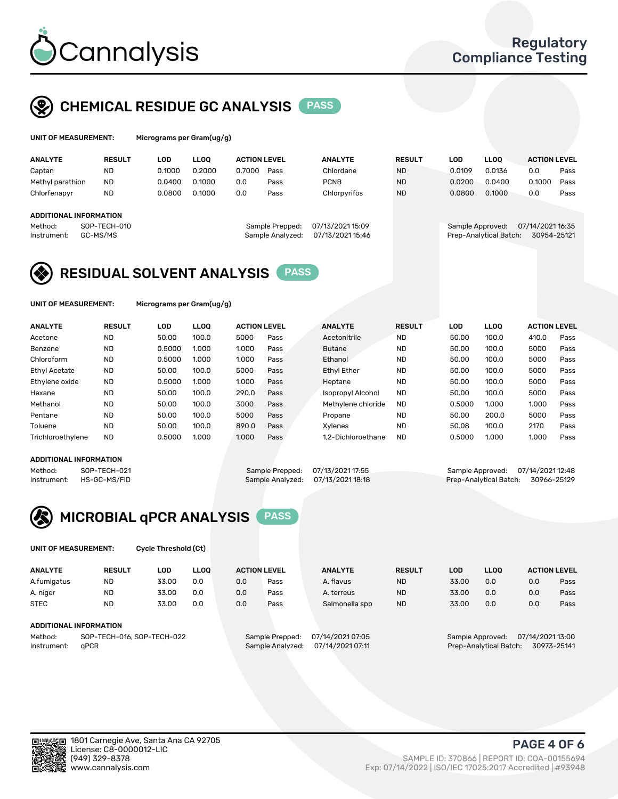

## CHEMICAL RESIDUE GC ANALYSIS PASS

| UNIT OF MEASUREMENT: | Micrograms |
|----------------------|------------|
|                      |            |

per Gram(ug/g)

| <b>ANALYTE</b>                                   | <b>RESULT</b>            | LOD    | <b>LLOO</b> | <b>ACTION LEVEL</b> |                                     | <b>ANALYTE</b>                       | <b>RESULT</b> | LOD              | <b>LLOO</b>            | <b>ACTION LEVEL</b>             |      |
|--------------------------------------------------|--------------------------|--------|-------------|---------------------|-------------------------------------|--------------------------------------|---------------|------------------|------------------------|---------------------------------|------|
| Captan                                           | <b>ND</b>                | 0.1000 | 0.2000      | 0.7000              | Pass                                | Chlordane                            | <b>ND</b>     | 0.0109           | 0.0136                 | 0.0                             | Pass |
| Methyl parathion                                 | <b>ND</b>                | 0.0400 | 0.1000      | 0.0                 | Pass                                | <b>PCNB</b>                          | <b>ND</b>     | 0.0200           | 0.0400                 | 0.1000                          | Pass |
| Chlorfenapyr                                     | <b>ND</b>                | 0.0800 | 0.1000      | 0.0                 | Pass                                | Chlorpyrifos                         | <b>ND</b>     | 0.0800           | 0.1000                 | 0.0                             | Pass |
| ADDITIONAL INFORMATION<br>Method:<br>Instrument: | SOP-TECH-010<br>GC-MS/MS |        |             |                     | Sample Prepped:<br>Sample Analyzed: | 07/13/2021 15:09<br>07/13/2021 15:46 |               | Sample Approved: | Prep-Analytical Batch: | 07/14/2021 16:35<br>30954-25121 |      |

## RESIDUAL SOLVENT ANALYSIS PASS

UNIT OF MEASUREMENT: Micrograms per Gram(ug/g)

| <b>ANALYTE</b>       | <b>RESULT</b> | LOD    | <b>LLOO</b> | <b>ACTION LEVEL</b> |      | <b>ANALYTE</b>           | <b>RESULT</b> | LOD    | LLOO  | <b>ACTION LEVEL</b> |      |
|----------------------|---------------|--------|-------------|---------------------|------|--------------------------|---------------|--------|-------|---------------------|------|
| Acetone              | <b>ND</b>     | 50.00  | 100.0       | 5000                | Pass | Acetonitrile             | <b>ND</b>     | 50.00  | 100.0 | 410.0               | Pass |
| Benzene              | <b>ND</b>     | 0.5000 | 1.000       | 1.000               | Pass | <b>Butane</b>            | <b>ND</b>     | 50.00  | 100.0 | 5000                | Pass |
| Chloroform           | <b>ND</b>     | 0.5000 | 1.000       | 1.000               | Pass | Ethanol                  | <b>ND</b>     | 50.00  | 100.0 | 5000                | Pass |
| <b>Ethyl Acetate</b> | <b>ND</b>     | 50.00  | 100.0       | 5000                | Pass | <b>Ethyl Ether</b>       | <b>ND</b>     | 50.00  | 100.0 | 5000                | Pass |
| Ethylene oxide       | <b>ND</b>     | 0.5000 | 1.000       | 1.000               | Pass | Heptane                  | <b>ND</b>     | 50.00  | 100.0 | 5000                | Pass |
| Hexane               | <b>ND</b>     | 50.00  | 100.0       | 290.0               | Pass | <b>Isopropyl Alcohol</b> | <b>ND</b>     | 50.00  | 100.0 | 5000                | Pass |
| Methanol             | <b>ND</b>     | 50.00  | 100.0       | 3000                | Pass | Methylene chloride       | <b>ND</b>     | 0.5000 | 1.000 | 1.000               | Pass |
| Pentane              | <b>ND</b>     | 50.00  | 100.0       | 5000                | Pass | Propane                  | <b>ND</b>     | 50.00  | 200.0 | 5000                | Pass |
| Toluene              | <b>ND</b>     | 50.00  | 100.0       | 890.0               | Pass | Xvlenes                  | <b>ND</b>     | 50.08  | 100.0 | 2170                | Pass |
| Trichloroethylene    | <b>ND</b>     | 0.5000 | 1.000       | 1.000               | Pass | 1.2-Dichloroethane       | <b>ND</b>     | 0.5000 | 1.000 | 1.000               | Pass |

#### ADDITIONAL INFORMATION

Method: SOP-TECH-021 Sample Prepped: 07/13/2021 17:55 Sample Approved: 07/14/2021 12:48<br>Instrument: HS-GC-MS/FID Sample Analyzed: 07/13/2021 18:18 Prep-Analytical Batch: 30966-25129 Prep-Analytical Batch: 30966-25129



UNIT OF MEASUREMENT: Cycle Threshold (Ct)

| <b>ANALYTE</b>                        | <b>RESULT</b>          | LOD   | <b>LLOO</b> | <b>ACTION LEVEL</b> |                  | <b>ANALYTE</b> | <b>RESULT</b> | LOD              | <b>LLOO</b>      |     | <b>ACTION LEVEL</b> |
|---------------------------------------|------------------------|-------|-------------|---------------------|------------------|----------------|---------------|------------------|------------------|-----|---------------------|
| A.fumigatus                           | <b>ND</b>              | 33.00 | 0.0         | 0.0                 | Pass             | A. flavus      | <b>ND</b>     | 33.00            | 0.0              | 0.0 | Pass                |
| A. niger                              | <b>ND</b>              | 33.00 | 0.0         | 0.0                 | Pass             | A. terreus     | <b>ND</b>     | 33.00            | 0.0              | 0.0 | Pass                |
| <b>STEC</b>                           | <b>ND</b>              | 33.00 | 0.0         | 0.0                 | Pass             | Salmonella spp | <b>ND</b>     | 33.00            | 0.0              | 0.0 | Pass                |
|                                       | ADDITIONAL INFORMATION |       |             |                     |                  |                |               |                  |                  |     |                     |
| SOP-TECH-016, SOP-TECH-022<br>Method: |                        |       |             | Sample Prepped:     | 07/14/2021 07:05 |                |               | Sample Approved: | 07/14/2021 13:00 |     |                     |

Instrument: qPCR Sample Analyzed: 07/14/2021 07:11 Prep-Analytical Batch: 30973-25141

PAGE 4 OF 6

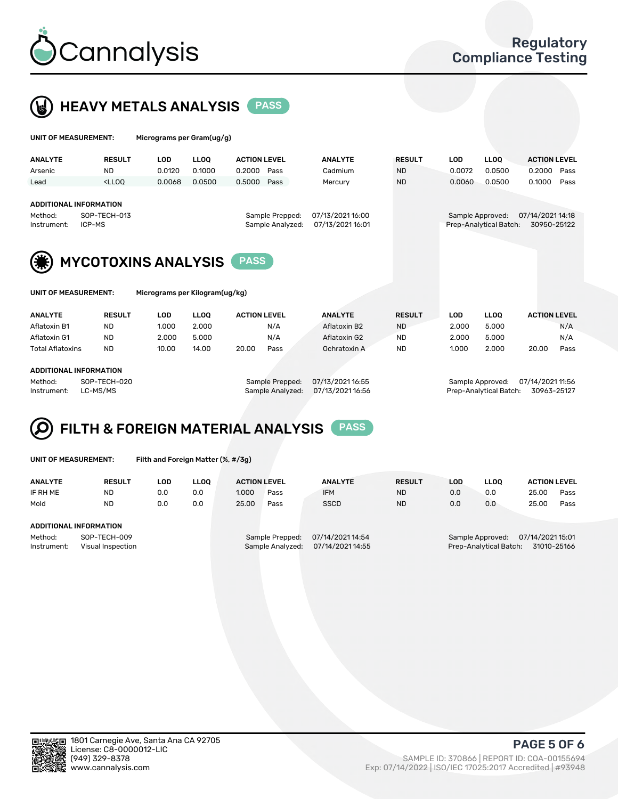



| UNIT OF MEASUREMENT:                                                                                                                                                                                          |               | Micrograms per Gram(ug/g)                    |             |                     |                  |               |            |                                            |                                 |
|---------------------------------------------------------------------------------------------------------------------------------------------------------------------------------------------------------------|---------------|----------------------------------------------|-------------|---------------------|------------------|---------------|------------|--------------------------------------------|---------------------------------|
| <b>ANALYTE</b>                                                                                                                                                                                                | <b>RESULT</b> | <b>LOD</b>                                   | <b>LLOO</b> | <b>ACTION LEVEL</b> | <b>ANALYTE</b>   | <b>RESULT</b> | <b>LOD</b> | <b>LLOO</b>                                | <b>ACTION LEVEL</b>             |
| Arsenic                                                                                                                                                                                                       | <b>ND</b>     | 0.0120                                       | 0.1000      | 0.2000<br>Pass      | Cadmium          | <b>ND</b>     | 0.0072     | 0.0500                                     | 0.2000<br>Pass                  |
| Lead                                                                                                                                                                                                          | $<$ LLOO      | 0.0068                                       | 0.0500      | 0.5000<br>Pass      | Mercury          | <b>ND</b>     | 0.0060     | 0.0500                                     | 0.1000<br>Pass                  |
| <b>ADDITIONAL INFORMATION</b><br>SOP-TECH-013<br>07/13/2021 16:00<br>Method:<br>Sample Prepped:<br>07/13/2021 16:01<br>ICP-MS<br>Sample Analyzed:<br>Instrument:<br><b>MYCOTOXINS ANALYSIS</b><br><b>PASS</b> |               |                                              |             |                     |                  |               |            | Sample Approved:<br>Prep-Analytical Batch: | 07/14/2021 14:18<br>30950-25122 |
| UNIT OF MEASUREMENT:<br><b>ANALYTE</b>                                                                                                                                                                        | <b>RESULT</b> | Micrograms per Kilogram(ug/kg)<br><b>LOD</b> | <b>LLOO</b> | <b>ACTION LEVEL</b> | <b>ANALYTE</b>   | <b>RESULT</b> | <b>LOD</b> | <b>LLOO</b>                                | <b>ACTION LEVEL</b>             |
| Aflatoxin B1                                                                                                                                                                                                  | ND.           | 1.000                                        | 2.000       | N/A                 | Aflatoxin B2     | <b>ND</b>     | 2.000      | 5.000                                      | N/A                             |
| Aflatoxin G1                                                                                                                                                                                                  | ND.           | 2.000                                        | 5.000       | N/A                 | Aflatoxin G2     | <b>ND</b>     | 2.000      | 5.000                                      | N/A                             |
| <b>Total Aflatoxins</b>                                                                                                                                                                                       | <b>ND</b>     | 10.00                                        | 14.00       | 20.00<br>Pass       | Ochratoxin A     | <b>ND</b>     | 1.000      | 2.000                                      | 20.00<br>Pass                   |
| <b>ADDITIONAL INFORMATION</b><br>Method:                                                                                                                                                                      | SOP-TECH-020  |                                              |             | Sample Prepped:     | 07/13/2021 16:55 |               |            | Sample Approved:                           | 07/14/2021 11:56                |



| UNIT OF MEASUREMENT: |  |
|----------------------|--|
|----------------------|--|

Filth and Foreign Matter (%, #/3g)

| <b>RESULT</b>     | LOD                                    | <b>LLOO</b> | <b>ACTION LEVEL</b> |      | <b>ANALYTE</b>   | <b>RESULT</b>    | LOD                                   | <b>LLOO</b> | <b>ACTION LEVEL</b> |      |
|-------------------|----------------------------------------|-------------|---------------------|------|------------------|------------------|---------------------------------------|-------------|---------------------|------|
| <b>ND</b>         | 0.0                                    | 0.0         | 1.000               | Pass | <b>IFM</b>       | <b>ND</b>        | 0.0                                   | 0.0         | 25.00               | Pass |
| <b>ND</b>         | 0.0                                    | 0.0         | 25.00               | Pass | <b>SSCD</b>      | <b>ND</b>        | 0.0                                   | 0.0         | 25.00               | Pass |
|                   |                                        |             |                     |      |                  |                  |                                       |             |                     |      |
|                   |                                        |             |                     |      |                  |                  |                                       |             |                     |      |
|                   |                                        |             | Sample Prepped:     |      | 07/14/2021 14:54 |                  | 07/14/2021 15:01<br>Sample Approved:  |             |                     |      |
| Visual Inspection |                                        |             |                     |      | 07/14/2021 14:55 |                  | Prep-Analytical Batch:<br>31010-25166 |             |                     |      |
|                   | ADDITIONAL INFORMATION<br>SOP-TECH-009 |             |                     |      |                  | Sample Analyzed: |                                       |             |                     |      |

Instrument: LC-MS/MS Sample Analyzed: 07/13/2021 16:56 Prep-Analytical Batch: 30963-25127